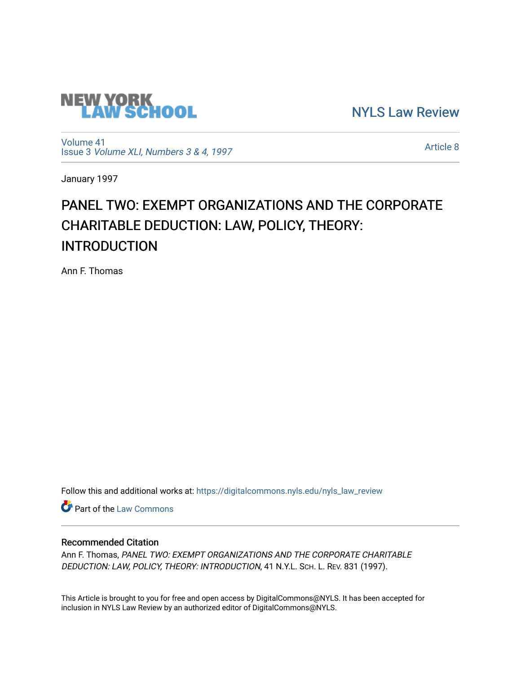

[NYLS Law Review](https://digitalcommons.nyls.edu/nyls_law_review) 

[Volume 41](https://digitalcommons.nyls.edu/nyls_law_review/vol41) Issue 3 [Volume XLI, Numbers 3 & 4, 1997](https://digitalcommons.nyls.edu/nyls_law_review/vol41/iss3)

[Article 8](https://digitalcommons.nyls.edu/nyls_law_review/vol41/iss3/8) 

January 1997

# PANEL TWO: EXEMPT ORGANIZATIONS AND THE CORPORATE CHARITABLE DEDUCTION: LAW, POLICY, THEORY: INTRODUCTION

Ann F. Thomas

Follow this and additional works at: [https://digitalcommons.nyls.edu/nyls\\_law\\_review](https://digitalcommons.nyls.edu/nyls_law_review?utm_source=digitalcommons.nyls.edu%2Fnyls_law_review%2Fvol41%2Fiss3%2F8&utm_medium=PDF&utm_campaign=PDFCoverPages) 

**Part of the [Law Commons](https://network.bepress.com/hgg/discipline/578?utm_source=digitalcommons.nyls.edu%2Fnyls_law_review%2Fvol41%2Fiss3%2F8&utm_medium=PDF&utm_campaign=PDFCoverPages)** 

## Recommended Citation

Ann F. Thomas, PANEL TWO: EXEMPT ORGANIZATIONS AND THE CORPORATE CHARITABLE DEDUCTION: LAW, POLICY, THEORY: INTRODUCTION, 41 N.Y.L. SCH. L. REV. 831 (1997).

This Article is brought to you for free and open access by DigitalCommons@NYLS. It has been accepted for inclusion in NYLS Law Review by an authorized editor of DigitalCommons@NYLS.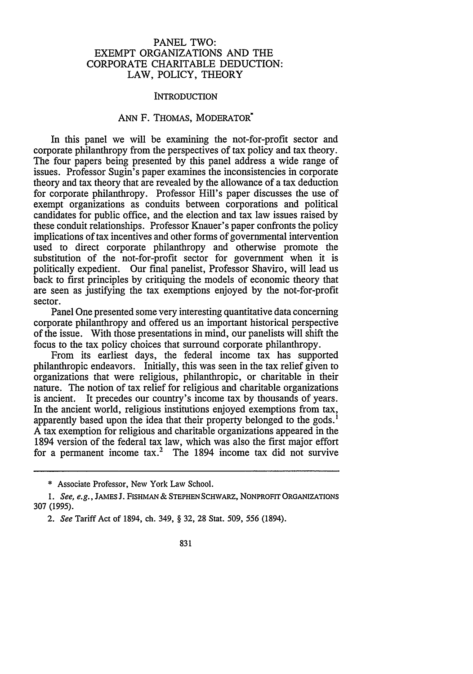#### PANEL TWO: EXEMPT ORGANIZATIONS AND THE CORPORATE CHARITABLE DEDUCTION: LAW, POLICY, THEORY

#### INTRODUCTION

### ANN F. THOMAS, MODERATOR<sup>\*</sup>

In this panel we will be examining the not-for-profit sector and corporate philanthropy from the perspectives of tax policy and tax theory. The four papers being presented by this panel address a wide range of issues. Professor Sugin's paper examines the inconsistencies in corporate theory and tax theory that are revealed by the allowance of a tax deduction for corporate philanthropy. Professor Hill's paper discusses the use of exempt organizations as conduits between corporations and political candidates for public office, and the election and tax law issues raised by these conduit relationships. Professor Knauer's paper confronts the policy implications of tax incentives and other forms of governmental intervention used to direct corporate philanthropy and otherwise promote the substitution of the not-for-profit sector for government when it is politically expedient. Our final panelist, Professor Shaviro, will lead us back to first principles by critiquing the models of economic theory that are seen as justifying the tax exemptions enjoyed by the not-for-profit sector.

Panel One presented some very interesting quantitative data concerning corporate philanthropy and offered us an important historical perspective of the issue. With those presentations in mind, our panelists will shift the focus to the tax policy choices that surround corporate philanthropy.

From its earliest days, the federal income tax has supported philanthropic endeavors. Initially, this was seen in the tax relief given to organizations that were religious, philanthropic, or charitable in their nature. The notion of tax relief for religious and charitable organizations is ancient. It precedes our country's income tax by thousands of years. In the ancient world, religious institutions enjoyed exemptions from tax, apparently based upon the idea that their property belonged to the gods.' A tax exemption for religious and charitable organizations appeared in the 1894 version of the federal tax law, which was also the first major effort for a permanent income  $\text{tax.}^2$  The 1894 income tax did not survive

<sup>\*</sup> Associate Professor, New York Law School.

*<sup>1.</sup> See, e.g.,* JAMES **J.** FIsHMAN & **STEPHEN** SCHWARZ, NONPROFIT ORGANIZATIONS 307 (1995).

*<sup>2.</sup> See* Tariff Act of 1894, ch. 349, § 32, 28 Stat. 509, 556 (1894).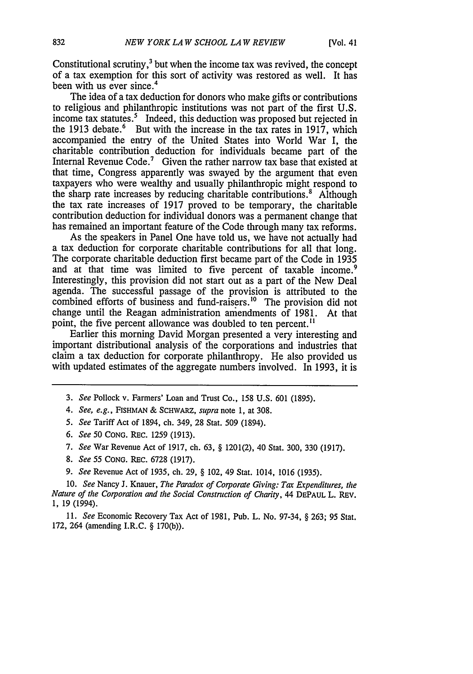Constitutional scrutiny, $3$  but when the income tax was revived, the concept of a tax exemption for this sort of activity was restored as well. It has been with us ever since.<sup>4</sup>

The idea of a tax deduction for donors who make gifts or contributions to religious and philanthropic institutions was not part of the first U.S. income tax statutes.<sup>5</sup> Indeed, this deduction was proposed but rejected in the 1913 debate.<sup>6</sup> But with the increase in the tax rates in 1917, which accompanied the entry of the United States into World War I, the charitable contribution deduction for individuals became part of the Internal Revenue Code.<sup>7</sup> Given the rather narrow tax base that existed at that time, Congress apparently was swayed by the argument that even taxpayers who were wealthy and usually philanthropic might respond to the sharp rate increases by reducing charitable contributions.<sup>8</sup> Although the tax rate increases of 1917 proved to be temporary, the charitable contribution deduction for individual donors was a permanent change that has remained an important feature of the Code through many tax reforms.

As the speakers in Panel One have told us, we have not actually had a tax deduction for corporate charitable contributions for all that long. The corporate charitable deduction first became part of the Code in 1935 and at that time was limited to five percent of taxable income.<sup>9</sup> Interestingly, this provision did not start out as a part of the New Deal agenda. The successful passage of the provision is attributed to the combined efforts of business and fund-raisers.<sup>10</sup> The provision did not change until the Reagan administration amendments of 1981. At that point, the five percent allowance was doubled to ten percent."

Earlier this morning David Morgan presented a very interesting and important distributional analysis of the corporations and industries that claim a tax deduction for corporate philanthropy. He also provided us with updated estimates of the aggregate numbers involved. In 1993, it is

- 3. *See* Pollock v. Farmers' Loan and Trust Co., 158 U.S. 601 (1895).
- *4. See, e.g.,* FISHMAN & SCHWARZ, *supra* note **1,** at 308.
- *5. See* Tariff Act of 1894, ch. 349, 28 Stat. 509 (1894).
- *6. See* 50 CONG. REc. 1259 (1913).
- *7. See* War Revenue Act of 1917, ch. 63, § 1201(2), 40 Stat. 300, 330 (1917).
- 8. *See 55* CONG. REc. 6728 (1917).
- *9. See* Revenue Act of 1935, ch. 29, § 102, 49 Stat. 1014, 1016 (1935).

*10. See* Nancy J. Knauer, *The Paradox of Corporate Giving: Tax Expenditures, the Nature of the Corporation and the Social Construction of Charity,* 44 DEPAUL L. REV. 1, 19 (1994).

11. *See* Economic Recovery Tax Act of 1981, Pub. L. No. 97-34, § 263; 95 Stat. 172, 264 (amending I.R.C. § 170(b)).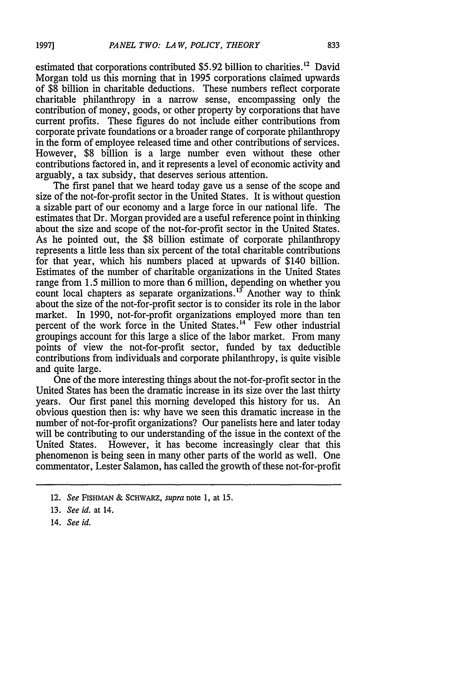estimated that corporations contributed  $$5.92$  billion to charities.<sup>12</sup> David Morgan told us this morning that in 1995 corporations claimed upwards of \$8 billion in charitable deductions. These numbers reflect corporate charitable philanthropy in a narrow sense, encompassing only the contribution of money, goods, or other property by corporations that have current profits. These figures do not include either contributions from corporate private foundations or a broader range of corporate philanthropy in the form of employee released time and other contributions of services. However, \$8 billion is a large number even without these other contributions factored in, and it represents a level of economic activity and arguably, a tax subsidy, that deserves serious attention.

The first panel that we heard today gave us a sense of the scope and size of the not-for-profit sector in the United States. It is without question a sizable part of our economy and a large force in our national life. The estimates that Dr. Morgan provided are a useful reference point in thinking about the size and scope of the not-for-profit sector in the United States. As he pointed out, the \$8 billion estimate of corporate philanthropy represents a little less than six percent of the total charitable contributions for that year, which his numbers placed at upwards of \$140 billion. Estimates of the number of charitable organizations in the United States range from 1.5 million to more than 6 million, depending on whether you count local chapters as separate organizations.<sup>13</sup> Another way to think about the size of the not-for-profit sector is to consider its role in the labor market. In 1990, not-for-profit organizations employed more than ten percent of the work force in the United States.<sup>14</sup> Few other industrial groupings account for this large a slice of the labor market. From many points of view the not-for-profit sector, funded by tax deductible contributions from individuals and corporate philanthropy, is quite visible and quite large.

One of the more interesting things about the not-for-profit sector in the United States has been the dramatic increase in its size over the last thirty years. Our first panel this morning developed this history for us. An obvious question then is: why have we seen this dramatic increase in the number of not-for-profit organizations? Our panelists here and later today will be contributing to our understanding of the issue in the context of the United States. However, it has become increasingly clear that this phenomenon is being seen in many other parts of the world as well. One commentator, Lester Salamon, has called the growth of these not-for-profit

14. *See id.*

<sup>12.</sup> See FISHMAN & SCHWARZ, supra note 1, at 15.

<sup>13.</sup> *See id.* at 14.